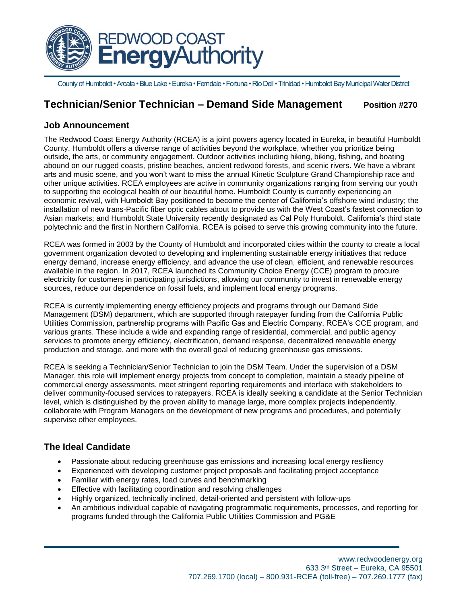

Countyof Humboldt• Arcata • Blue Lake • Eureka • Ferndale • Fortuna • Rio Dell • Trinidad • Humboldt Bay Municipal Water District

# **Technician/Senior Technician – Demand Side Management Position #270**

## **Job Announcement**

The Redwood Coast Energy Authority (RCEA) is a joint powers agency located in Eureka, in beautiful Humboldt County. Humboldt offers a diverse range of activities beyond the workplace, whether you prioritize being outside, the arts, or community engagement. Outdoor activities including hiking, biking, fishing, and boating abound on our rugged coasts, pristine beaches, ancient redwood forests, and scenic rivers. We have a vibrant arts and music scene, and you won't want to miss the annual Kinetic Sculpture Grand Championship race and other unique activities. RCEA employees are active in community organizations ranging from serving our youth to supporting the ecological health of our beautiful home. Humboldt County is currently experiencing an economic revival, with Humboldt Bay positioned to become the center of California's offshore wind industry; the installation of new trans-Pacific fiber optic cables about to provide us with the West Coast's fastest connection to Asian markets; and Humboldt State University recently designated as Cal Poly Humboldt, California's third state polytechnic and the first in Northern California. RCEA is poised to serve this growing community into the future.

RCEA was formed in 2003 by the County of Humboldt and incorporated cities within the county to create a local government organization devoted to developing and implementing sustainable energy initiatives that reduce energy demand, increase energy efficiency, and advance the use of clean, efficient, and renewable resources available in the region. In 2017, RCEA launched its Community Choice Energy (CCE) program to procure electricity for customers in participating jurisdictions, allowing our community to invest in renewable energy sources, reduce our dependence on fossil fuels, and implement local energy programs.

RCEA is currently implementing energy efficiency projects and programs through our Demand Side Management (DSM) department, which are supported through ratepayer funding from the California Public Utilities Commission, partnership programs with Pacific Gas and Electric Company, RCEA's CCE program, and various grants. These include a wide and expanding range of residential, commercial, and public agency services to promote energy efficiency, electrification, demand response, decentralized renewable energy production and storage, and more with the overall goal of reducing greenhouse gas emissions.

RCEA is seeking a Technician/Senior Technician to join the DSM Team. Under the supervision of a DSM Manager, this role will implement energy projects from concept to completion, maintain a steady pipeline of commercial energy assessments, meet stringent reporting requirements and interface with stakeholders to deliver community-focused services to ratepayers. RCEA is ideally seeking a candidate at the Senior Technician level, which is distinguished by the proven ability to manage large, more complex projects independently, collaborate with Program Managers on the development of new programs and procedures, and potentially supervise other employees.

## **The Ideal Candidate**

- Passionate about reducing greenhouse gas emissions and increasing local energy resiliency
- Experienced with developing customer project proposals and facilitating project acceptance
- Familiar with energy rates, load curves and benchmarking
- Effective with facilitating coordination and resolving challenges
- Highly organized, technically inclined, detail-oriented and persistent with follow-ups
- An ambitious individual capable of navigating programmatic requirements, processes, and reporting for programs funded through the California Public Utilities Commission and PG&E